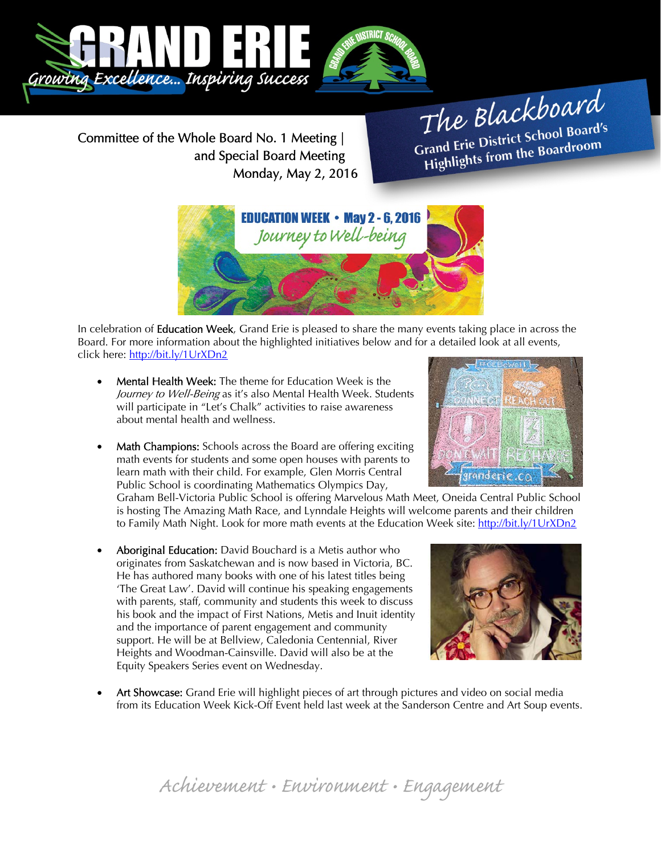

Committee of the Whole Board No. 1 Meeting | and Special Board Meeting Monday, May 2, 2016

The Blackboard The Burner of Board's<br>Grand Erie District School Board's Frand Erie District School Board<br>Highlights from the Boardroom



In celebration of **Education Week**, Grand Erie is pleased to share the many events taking place in across the Board. For more information about the highlighted initiatives below and for a detailed look at all events, click here: http://bit.ly/1UrXDn2

- Mental Health Week: The theme for Education Week is the Journey to Well-Being as it's also Mental Health Week. Students will participate in "Let's Chalk" activities to raise awareness about mental health and wellness.
- Math Champions: Schools across the Board are offering exciting math events for students and some open houses with parents to learn math with their child. For example, Glen Morris Central Public School is coordinating Mathematics Olympics Day,

Graham Bell-Victoria Public School is offering Marvelous Math Meet, Oneida Central Public School is hosting The Amazing Math Race, and Lynndale Heights will welcome parents and their children to Family Math Night. Look for more math events at the Education Week site: http://bit.ly/1UrXDn2

 Aboriginal Education: David Bouchard is a Metis author who originates from Saskatchewan and is now based in Victoria, BC. He has authored many books with one of his latest titles being 'The Great Law'. David will continue his speaking engagements with parents, staff, community and students this week to discuss his book and the impact of First Nations, Metis and Inuit identity and the importance of parent engagement and community support. He will be at Bellview, Caledonia Centennial, River Heights and Woodman-Cainsville. David will also be at the Equity Speakers Series event on Wednesday.



 Art Showcase: Grand Erie will highlight pieces of art through pictures and video on social media from its Education Week Kick-Off Event held last week at the Sanderson Centre and Art Soup events.



Achievement • Environment • Engagement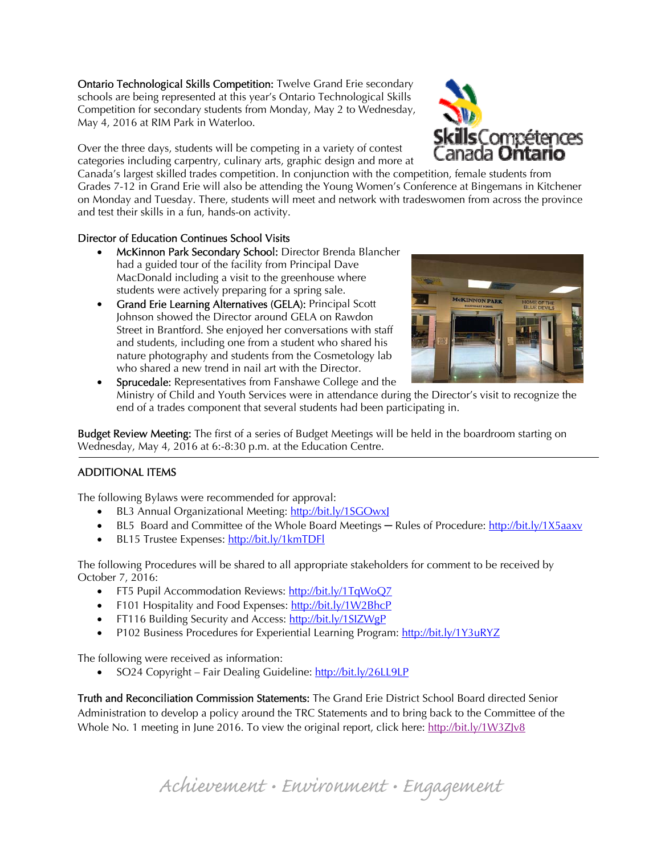Ontario Technological Skills Competition: Twelve Grand Erie secondary schools are being represented at this year's Ontario Technological Skills Competition for secondary students from Monday, May 2 to Wednesday, May 4, 2016 at RIM Park in Waterloo.

Over the three days, students will be competing in a variety of contest categories including carpentry, culinary arts, graphic design and more at

Canada's largest skilled trades competition. In conjunction with the competition, female students from Grades 7-12 in Grand Erie will also be attending the Young Women's Conference at Bingemans in Kitchener on Monday and Tuesday. There, students will meet and network with tradeswomen from across the province and test their skills in a fun, hands-on activity.

## Director of Education Continues School Visits

- McKinnon Park Secondary School: Director Brenda Blancher had a guided tour of the facility from Principal Dave MacDonald including a visit to the greenhouse where students were actively preparing for a spring sale.
- Grand Erie Learning Alternatives (GELA): Principal Scott Johnson showed the Director around GELA on Rawdon Street in Brantford. She enjoyed her conversations with staff and students, including one from a student who shared his nature photography and students from the Cosmetology lab who shared a new trend in nail art with the Director.



**ls**Compétences 1ada **Untario** 

 Sprucedale: Representatives from Fanshawe College and the Ministry of Child and Youth Services were in attendance during the Director's visit to recognize the end of a trades component that several students had been participating in.

**Budget Review Meeting:** The first of a series of Budget Meetings will be held in the boardroom starting on Wednesday, May 4, 2016 at 6:-8:30 p.m. at the Education Centre.

## ADDITIONAL ITEMS

The following Bylaws were recommended for approval:

- BL3 Annual Organizational Meeting: http://bit.ly/1SGOwxl
- BL5 Board and Committee of the Whole Board Meetings Rules of Procedure: http://bit.ly/1X5aaxv
- BL15 Trustee Expenses: http://bit.ly/1kmTDFl

The following Procedures will be shared to all appropriate stakeholders for comment to be received by October 7, 2016:

- FT5 Pupil Accommodation Reviews: http://bit.ly/1TqWoQ7
- F101 Hospitality and Food Expenses: http://bit.ly/1W2BhcP
- FT116 Building Security and Access: http://bit.ly/1SIZWgP
- P102 Business Procedures for Experiential Learning Program: http://bit.ly/1Y3uRYZ

The following were received as information:

• SO24 Copyright – Fair Dealing Guideline: http://bit.ly/26LL9LP

Truth and Reconciliation Commission Statements: The Grand Erie District School Board directed Senior Administration to develop a policy around the TRC Statements and to bring back to the Committee of the Whole No. 1 meeting in June 2016. To view the original report, click here: http://bit.ly/1W3ZJv8

Achievement • Environment • Engagement